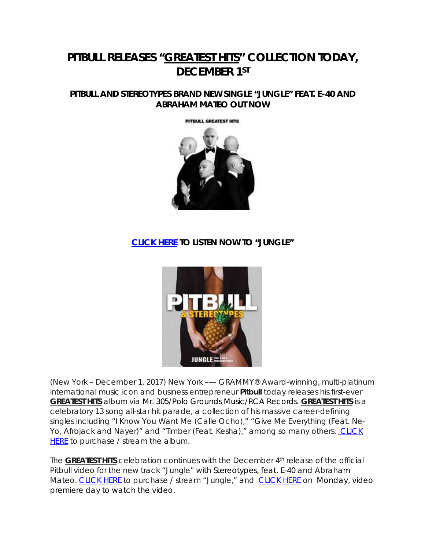# **PITBULL RELEASES "***GREATEST HITS***" COLLECTION TODAY, DECEMBER 1ST**

## **PITBULL AND STEREOTYPES BRAND NEW SINGLE "JUNGLE" FEAT. E-40 AND ABRAHAM MATEO OUT NOW**

#### PITBULL GREATEST HITS



## **[CLICK HERE](http://smarturl.it/pjungle) TO LISTEN NOW TO "JUNGLE"**



(New York – December 1, 2017) New York –— GRAMMY® Award-winning, multi-platinum international music icon and business entrepreneur **Pitbull** today releases his first-ever *GREATEST HITS* album via Mr. 305/Polo Grounds Music/RCA Records. *GREATEST HITS* is a celebratory 13 song all-star hit parade, a collection of his massive career-defining singles including "I Know You Want Me (Calle Ocho)," "Give Me Everything (Feat. Ne-Yo, Afrojack and Nayer)" and "Timber (Feat. Kesha)," among so many others. CLICK [HERE](http://smarturl.it/pgh) to purchase / stream the album.

The **GREATEST HITS** celebration continues with the December 4<sup>th</sup> release of the official Pitbull video for the new track "Jungle" with Stereotypes, feat. E-40 and Abraham Mateo. [CLICK HERE](http://smarturl.it/pjunglev) to purchase / stream "Jungle," and CLICK HERE on Monday, video premiere day to watch the video.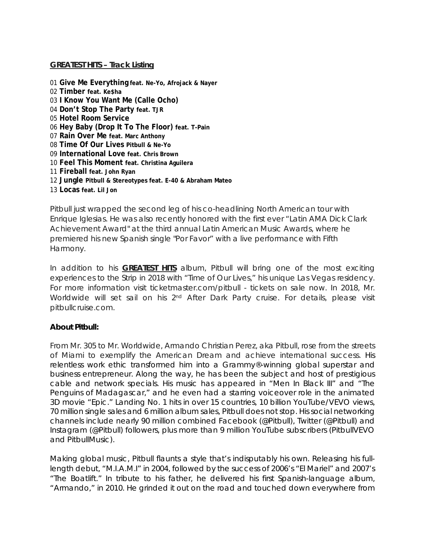### **GREATEST HITS – Track Listing**

 **Give Me Everything feat. Ne-Yo, Afrojack & Nayer Timber feat. Ke\$ha I Know You Want Me (Calle Ocho) Don't Stop The Party feat. TJR Hotel Room Service Hey Baby (Drop It To The Floor) feat. T-Pain Rain Over Me feat. Marc Anthony Time Of Our Lives Pitbull & Ne-Yo International Love feat. Chris Brown Feel This Moment feat. Christina Aguilera Fireball feat. John Ryan Jungle Pitbull & Stereotypes feat. E-40 & Abraham Mateo Locas feat. Lil Jon**

Pitbull just wrapped the second leg of his co-headlining North American tour with Enrique Iglesias. He was also recently honored with the first ever "Latin AMA Dick Clark Achievement Award" at the third annual Latin American Music Awards, where he premiered his new Spanish single "Por Favor" with a live performance with Fifth Harmony.

In addition to his *GREATEST HITS* album, Pitbull will bring one of the most exciting experiences to the Strip in 2018 with "Time of Our Lives," his unique Las Vegas residency. For more information visit ticketmaster.com/pitbull - tickets on sale now. In 2018, Mr. Worldwide will set sail on his 2<sup>nd</sup> After Dark Party cruise. For details, please visit pitbullcruise.com.

### **About Pitbull:**

From Mr. 305 to Mr. Worldwide, Armando Christian Perez, aka Pitbull, rose from the streets of Miami to exemplify the American Dream and achieve international success. His relentless work ethic transformed him into a Grammy®-winning global superstar and business entrepreneur. Along the way, he has been the subject and host of prestigious cable and network specials. His music has appeared in "*Men In Black III"* and "*The Penguins of Madagascar*," and he even had a starring voiceover role in the animated 3D movie "*Epic*." Landing No. 1 hits in over 15 countries, 10 billion YouTube/VEVO views, 70 million single sales and 6 million album sales, Pitbull does not stop. His social networking channels include nearly 90 million combined Facebook (@Pitbull), Twitter (@Pitbull) and Instagram (@Pitbull) followers, plus more than 9 million YouTube subscribers (PitbullVEVO and PitbullMusic).

Making global music, Pitbull flaunts a style that's indisputably his own. Releasing his fulllength debut, "M.I.A.M.I" in 2004, followed by the success of 2006's "El Mariel" and 2007's "The Boatlift." In tribute to his father, he delivered his first Spanish-language album, "Armando," in 2010. He grinded it out on the road and touched down everywhere from